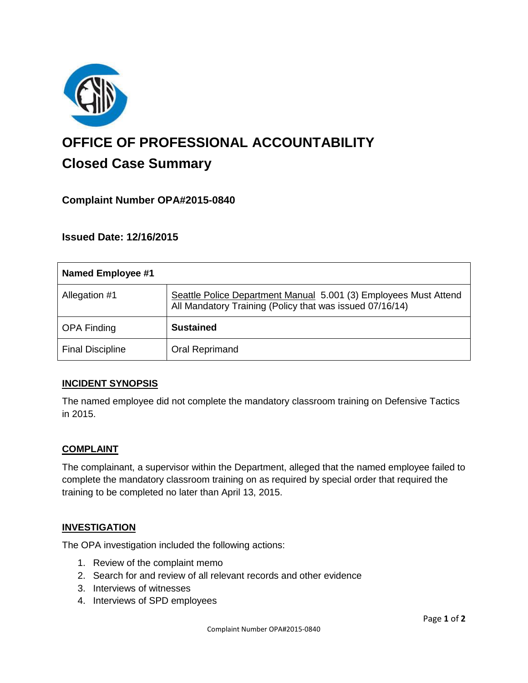

# **OFFICE OF PROFESSIONAL ACCOUNTABILITY Closed Case Summary**

# **Complaint Number OPA#2015-0840**

**Issued Date: 12/16/2015**

| Named Employee #1       |                                                                                                                              |
|-------------------------|------------------------------------------------------------------------------------------------------------------------------|
| Allegation #1           | Seattle Police Department Manual 5.001 (3) Employees Must Attend<br>All Mandatory Training (Policy that was issued 07/16/14) |
| <b>OPA Finding</b>      | <b>Sustained</b>                                                                                                             |
| <b>Final Discipline</b> | Oral Reprimand                                                                                                               |

## **INCIDENT SYNOPSIS**

The named employee did not complete the mandatory classroom training on Defensive Tactics in 2015.

## **COMPLAINT**

The complainant, a supervisor within the Department, alleged that the named employee failed to complete the mandatory classroom training on as required by special order that required the training to be completed no later than April 13, 2015.

#### **INVESTIGATION**

The OPA investigation included the following actions:

- 1. Review of the complaint memo
- 2. Search for and review of all relevant records and other evidence
- 3. Interviews of witnesses
- 4. Interviews of SPD employees